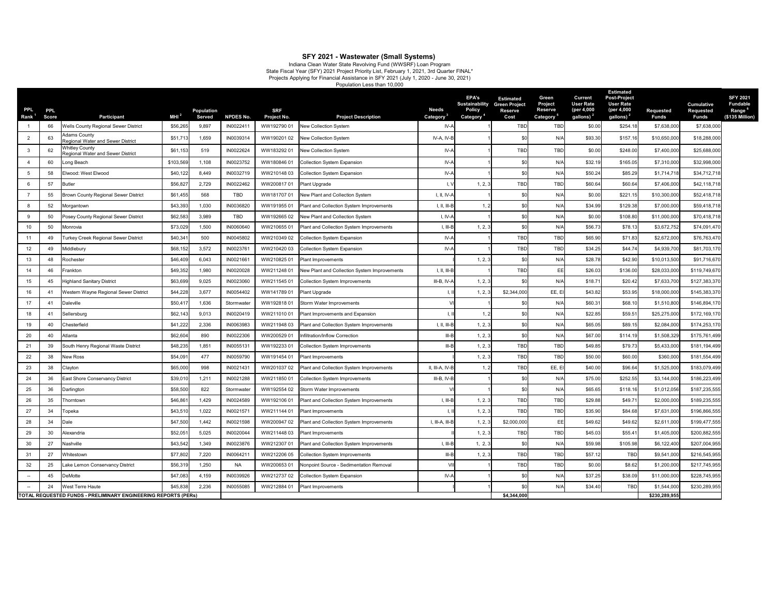| <b>PPL</b><br>Rank $1$ | <b>PPL</b><br><b>Score</b> | <b>Participant</b>                                                | MHI $^2$  | <b>Population</b> | <b>NPDES No.</b> | <b>SRF</b>                       | <b>Project Description</b>                      | <b>Needs</b>            | <b>EPA's</b><br>Sustainability Green Project<br><b>Policy</b> | <b>Estimated</b><br><b>Reserve</b><br>Cost | Green<br><b>Project</b><br><b>Reserve</b> | <b>Current</b><br><b>User Rate</b><br>(per 4,000<br>gallons) <sup>2</sup> | <b>Estimated</b><br>Post-Project<br>User Rate<br>(per 4,000<br>gallons) <sup>21</sup> | <b>Requested</b><br><b>Funds</b> | <b>Cumulative</b><br><b>Requested</b><br><b>Funds</b> | <b>SFY 2021</b><br><b>Fundable</b><br>Range <sup>6</sup> |
|------------------------|----------------------------|-------------------------------------------------------------------|-----------|-------------------|------------------|----------------------------------|-------------------------------------------------|-------------------------|---------------------------------------------------------------|--------------------------------------------|-------------------------------------------|---------------------------------------------------------------------------|---------------------------------------------------------------------------------------|----------------------------------|-------------------------------------------------------|----------------------------------------------------------|
|                        | 66                         | <b>Wells County Regional Sewer District</b>                       | \$56,265  | Served<br>9,897   | IN002241         | <b>Project No.</b><br>WW19279001 | <b>New Collection System</b>                    | <b>Category</b><br>IV-A | Category <sup>4</sup>                                         | <b>TBD</b>                                 | <b>Category</b><br><b>TBD</b>             | \$0.00                                                                    | \$254.18                                                                              | \$7,638,000                      | \$7,638,000                                           | (\$135 Million)                                          |
|                        | 63                         | Adams County<br><b>Regional Water and Sewer District</b>          | \$51,713  | 1,659             | IN0039314        | WW190201 02                      | New Collection System                           | IV-A, IV-B              |                                                               |                                            | N/f                                       | \$93.30                                                                   | \$157.16                                                                              | \$10,650,000                     | \$18,288,000                                          |                                                          |
|                        | 62                         | <b>Nhitley County</b><br><b>Regional Water and Sewer District</b> | \$61,153  | 519               | IN0022624        | WW18329201                       | New Collection System                           | $IV-A$                  |                                                               | <b>TBD</b>                                 | <b>TBD</b>                                | \$0.00                                                                    | \$248.0                                                                               | \$7,400,000                      | \$25,688,000                                          |                                                          |
|                        | 60                         | Long Beach                                                        | \$103,569 | 1,108             | IN0023752        | WW18084601                       | <b>Collection System Expansion</b>              | IV-A                    |                                                               |                                            | N/f                                       | \$32.19                                                                   | \$165.05                                                                              | \$7,310,000                      | \$32,998,000                                          |                                                          |
|                        | 58                         | Elwood: West Elwood                                               | \$40,122  | 8,449             | IN0032719        | WW21014803                       | Collection System Expansion                     | IV-A                    |                                                               |                                            | N/f                                       | \$50.24                                                                   | \$85.29                                                                               | \$1,714,718                      | \$34,712,718                                          |                                                          |
|                        | 57                         | <b>Butler</b>                                                     | \$56,827  | 2,729             | IN0022462        | WW20081701                       | <b>Plant Upgrade</b>                            |                         | 1, 2, 3                                                       | TBD                                        | <b>TBD</b>                                | \$60.64                                                                   | \$60.64                                                                               | \$7,406,000                      | \$42,118,718                                          |                                                          |
|                        | 55                         | <b>Brown County Regional Sewer District</b>                       | \$61,455  | 568               | TBD              | WW18170701                       | New Plant and Collection System                 | I, II, IV-A             |                                                               |                                            | N/f                                       | \$0.00                                                                    | \$221.15                                                                              | \$10,300,000                     | \$52,418,718                                          |                                                          |
|                        | 52                         | Morgantown                                                        | \$43,393  | 1,030             | IN0036820        | WW19195501                       | <b>Plant and Collection System Improvements</b> | $I, II, III-E$          |                                                               |                                            | N/f                                       | \$34.99                                                                   | \$129.38                                                                              | \$7,000,000                      | \$59,418,718                                          |                                                          |
|                        | 50                         | Posey County Regional Sewer District                              | \$62,583  | 3,989             | TBD              | WW19266502                       | New Plant and Collection System                 | I, IV-A                 |                                                               |                                            | N/4                                       | \$0.00                                                                    | \$108.80                                                                              | \$11,000,000                     | \$70,418,718                                          |                                                          |
| 10                     | 50                         | Monrovia                                                          | \$73,029  | 1,500             | IN0060640        | WW21065501                       | Plant and Collection System Improvements        | $I, III-E$              | 1, 2, 3                                                       |                                            | N/4                                       | \$56.73                                                                   | \$78.1                                                                                | \$3,672,752                      | \$74,091,470                                          |                                                          |
| 11                     | 49                         | <b>Turkey Creek Regional Sewer District</b>                       | \$40,341  | 500               | IN0045802        | WW210349 02                      | Collection System Expansion                     | $IV-A$                  |                                                               | <b>TBD</b>                                 | <b>TBD</b>                                | \$65.90                                                                   | \$71.83                                                                               | \$2,672,000                      | \$76,763,470                                          |                                                          |
| 12 <sub>2</sub>        | 49                         | Middlebury                                                        | \$68,152  | 3,572             | IN002376         | WW21042003                       | <b>Collection System Expansion</b>              | IV-A                    |                                                               | <b>TBD</b>                                 | <b>TBD</b>                                | \$34.25                                                                   | \$44.74                                                                               | \$4,939,700                      | \$81,703,170                                          |                                                          |
| 13                     | 48                         | Rochester                                                         | \$46,409  | 6,043             | IN002166         | WW21082501                       | <b>Plant Improvements</b>                       |                         | 1, 2, 3                                                       |                                            | N/f                                       | \$28.78                                                                   | \$42.90                                                                               | \$10,013,500                     | \$91,716,670                                          |                                                          |
| 14                     | 46                         | Frankton                                                          | \$49,352  | 1,980             | IN0020028        | WW21124801                       | New Plant and Collection System Improvements    | $I, II, III-E$          |                                                               | <b>TBD</b>                                 | EE                                        | \$26.03                                                                   | \$136.00                                                                              | \$28,033,000                     | \$119,749,670                                         |                                                          |
| 15 <sup>15</sup>       | 45                         | <b>Highland Sanitary District</b>                                 | \$63,699  | 9,025             | IN0023060        | WW21154501                       | Collection System Improvements                  | III-B, IV-A             | 1, 2, 3                                                       |                                            | N/A                                       | \$18.7'                                                                   | \$20.42                                                                               | \$7,633,700                      | \$127,383,370                                         |                                                          |
| 16                     | 4 <sup>′</sup>             | Western Wayne Regional Sewer District                             | \$44,228  | 3,677             | IN0054402        | WW14178901                       | <b>Plant Upgrade</b>                            |                         | 1, 2, 3                                                       | \$2,344,000                                | EE, EI                                    | \$43.82                                                                   | \$53.95                                                                               | \$18,000,000                     | \$145,383,370                                         |                                                          |
| 17                     | 41                         | Daleville                                                         | \$50,41   | 1,636             | Stormwater       | WW19281801                       | Storm Water Improvements                        |                         |                                                               |                                            | N/A                                       | \$60.31                                                                   | \$68.10                                                                               | \$1,510,800                      | \$146,894,170                                         |                                                          |
| 18                     | 41                         | Sellersburg                                                       | \$62,143  | 9,013             | IN0020419        | WW21101001                       | Plant Improvements and Expansion                |                         |                                                               |                                            | N/f                                       | \$22.85                                                                   | \$59.5                                                                                | \$25,275,000                     | \$172,169,170                                         |                                                          |
| 19                     | 40                         | Chesterfield                                                      | \$41,222  | 2,336             | IN0063983        | WW21194803                       | Plant and Collection System Improvements        | $I, II, III-B$          | 1, 2, 3                                                       |                                            | N/A                                       | \$65.05                                                                   | \$89.15                                                                               | \$2,084,000                      | \$174,253,170                                         |                                                          |
| 20                     | 40                         | Atlanta                                                           | \$62,604  | 890               | IN0022306        | WW20052901                       | Infiltration/Inflow Correction                  | $III - E$               | 1, 2, 3                                                       |                                            | N/f                                       | \$67.00                                                                   | \$114.19                                                                              | \$1,508,329                      | \$175,761,499                                         |                                                          |
| 21                     | 39                         | South Henry Regional Waste District                               | \$48,235  | 1,851             | IN005513         | WW19223301                       | <b>Collection System Improvements</b>           | III-E                   | 1, 2, 3                                                       | <b>TBD</b>                                 | <b>TBD</b>                                | \$49.85                                                                   | \$79.73                                                                               | \$5,433,000                      | \$181,194,499                                         |                                                          |
| 22                     | 38                         | <b>New Ross</b>                                                   | \$54,09   | 477               | IN0059790        | WW191454 01                      | <b>Plant Improvements</b>                       |                         | 1, 2, 3                                                       | <b>TBD</b>                                 | <b>TBD</b>                                | \$50.00                                                                   | \$60.00                                                                               | \$360,000                        | \$181,554,499                                         |                                                          |
| 23                     | 38                         | Clayton                                                           | \$65,000  | 998               | IN002143         | WW20103702                       | <b>Plant and Collection System Improvements</b> | II, III-A, IV-B         |                                                               | <b>TBD</b>                                 | EE, EI                                    | \$40.00                                                                   | \$96.6                                                                                | \$1,525,000                      | \$183,079,499                                         |                                                          |
| 24                     | 36                         | <b>East Shore Conservancy District</b>                            | \$39,01   | 1,211             | IN0021288        | WW21185001                       | <b>Collection System Improvements</b>           | $III-B, IV-B$           |                                                               |                                            | N/f                                       | \$75.00                                                                   | \$252.55                                                                              | \$3,144,000                      | \$186,223,499                                         |                                                          |
| 25                     | 36                         | Darlington                                                        | \$58,500  | 822               | Stormwater       | WW192554 02                      | Storm Water Improvements                        |                         |                                                               |                                            | N/A                                       | \$65.65                                                                   | \$118.16                                                                              | \$1,012,056                      | \$187,235,555                                         |                                                          |
| 26                     | 35                         | horntown <sup>.</sup>                                             | \$46,86   | 1,429             | IN0024589        | WW19210601                       | Plant and Collection System Improvements        | $I, III-B$              | 1, 2.3                                                        | <b>TBD</b>                                 | <b>TBD</b>                                | \$29.88                                                                   | \$49.7'                                                                               | \$2,000,000                      | \$189,235,555                                         |                                                          |
| 27                     | 34                         | Гореka                                                            | \$43,510  | 1,022             | IN0021571        | WW211144 01                      | <b>Plant Improvements</b>                       |                         | 1, 2, 3                                                       | <b>TBD</b>                                 | <b>TBD</b>                                | \$35.90                                                                   | \$84.68                                                                               | \$7,631,000                      | \$196,866,555                                         |                                                          |
| 28                     | 34                         | Dale                                                              | \$47,500  | 1,442             | IN0021598        | WW20094702                       | <b>Plant and Collection System Improvements</b> | I, III-A, III-B         | 1, 2, 3                                                       | \$2,000,000                                | EE                                        | \$49.62                                                                   | \$49.62                                                                               | \$2,611,000                      | \$199,477,555                                         |                                                          |
| 29                     | 30                         | Alexandria                                                        | \$52,05   | 5,025             | IN0020044        | WW21144803                       | <b>Plant Improvements</b>                       |                         | 1, 2, 3                                                       | <b>TBD</b>                                 | <b>TBD</b>                                | \$45.03                                                                   | \$55.4'                                                                               | \$1,405,000                      | \$200,882,555                                         |                                                          |
| 30                     | 27                         | Nashville                                                         | \$43,542  | 1,349             | IN0023876        | WW212307 01                      | Plant and Collection System Improvements        | $I, III-B$              | 1, 2, 3                                                       |                                            | N/A                                       | \$59.98                                                                   | \$105.98                                                                              | \$6,122,400                      | \$207,004,955                                         |                                                          |
| 31                     | 27                         | Whitestown                                                        | \$77,802  | 7,220             | IN006421         | WW212206 05                      | <b>Collection System Improvements</b>           | $III - E$               | 1, 2, 3                                                       | <b>TBD</b>                                 | <b>TBD</b>                                | \$57.12                                                                   | <b>TBD</b>                                                                            | \$9,541,000                      | \$216,545,955                                         |                                                          |
| 32                     | 25                         | ake Lemon Conservancy District                                    | \$56,319  | 1,250             | <b>NA</b>        | WW20065301                       | Nonpoint Source - Sedimentation Removal         |                         |                                                               | <b>TBD</b>                                 | <b>TBD</b>                                | \$0.00                                                                    | \$8.62                                                                                | \$1,200,000                      | \$217,745,955                                         |                                                          |
|                        | 45                         | <b>DeMotte</b>                                                    | \$47,083  | 4,159             | IN0039926        | WW21273702                       | <b>Collection System Expansion</b>              | $IV-A$                  |                                                               |                                            | N/f                                       | \$37.25                                                                   | \$38.0                                                                                | \$11,000,000                     | \$228,745,955                                         |                                                          |
|                        | 24                         | <b>West Terre Haute</b>                                           | \$45,838  | 2,236             | IN0055085        |                                  | WW212884 01   Plant Improvements                |                         |                                                               | \$0                                        | N/A                                       | \$34.40                                                                   | TBD,                                                                                  | \$1,544,000                      | \$230,289,955                                         |                                                          |
|                        |                            | TOTAL REQUESTED FUNDS - PRELIMINARY ENGINEERING REPORTS (PERS)    |           |                   |                  |                                  |                                                 |                         |                                                               | \$4,344,000                                |                                           |                                                                           |                                                                                       | \$230,289,955                    |                                                       |                                                          |

## **SFY 2021 - Wastewater (Small Systems)**

Indiana Clean Water State Revolving Fund (WWSRF) Loan Program State Fiscal Year (SFY) 2021 Project Priority List, February 1, 2021, 3rd Quarter FINAL\* Projects Applying for Financial Assistance in SFY 2021 (July 1, 2020 - June 30, 2021) Population Less than 10,000